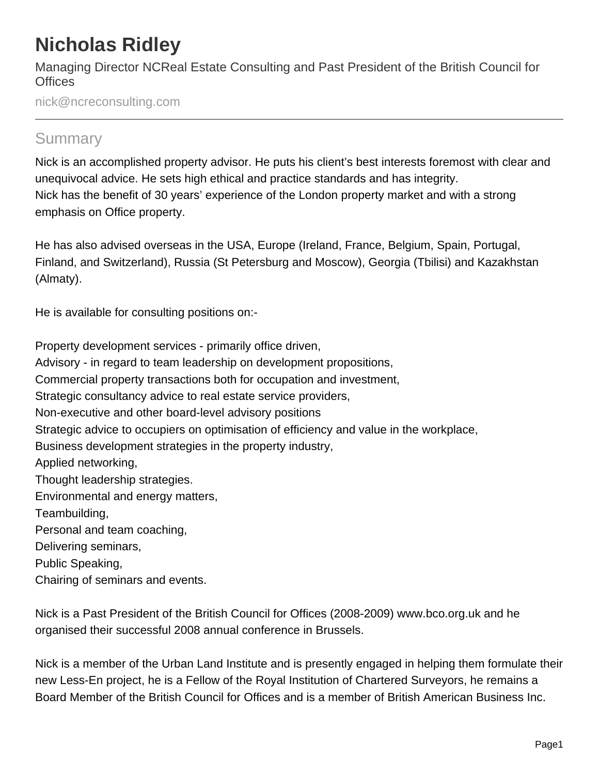## **Nicholas Ridley**

Managing Director NCReal Estate Consulting and Past President of the British Council for **Offices** 

nick@ncreconsulting.com

## **Summary**

Nick is an accomplished property advisor. He puts his client's best interests foremost with clear and unequivocal advice. He sets high ethical and practice standards and has integrity. Nick has the benefit of 30 years' experience of the London property market and with a strong emphasis on Office property.

He has also advised overseas in the USA, Europe (Ireland, France, Belgium, Spain, Portugal, Finland, and Switzerland), Russia (St Petersburg and Moscow), Georgia (Tbilisi) and Kazakhstan (Almaty).

He is available for consulting positions on:-

Property development services - primarily office driven, Advisory - in regard to team leadership on development propositions, Commercial property transactions both for occupation and investment, Strategic consultancy advice to real estate service providers, Non-executive and other board-level advisory positions Strategic advice to occupiers on optimisation of efficiency and value in the workplace, Business development strategies in the property industry, Applied networking, Thought leadership strategies. Environmental and energy matters, Teambuilding, Personal and team coaching, Delivering seminars, Public Speaking, Chairing of seminars and events.

Nick is a Past President of the British Council for Offices (2008-2009) www.bco.org.uk and he organised their successful 2008 annual conference in Brussels.

Nick is a member of the Urban Land Institute and is presently engaged in helping them formulate their new Less-En project, he is a Fellow of the Royal Institution of Chartered Surveyors, he remains a Board Member of the British Council for Offices and is a member of British American Business Inc.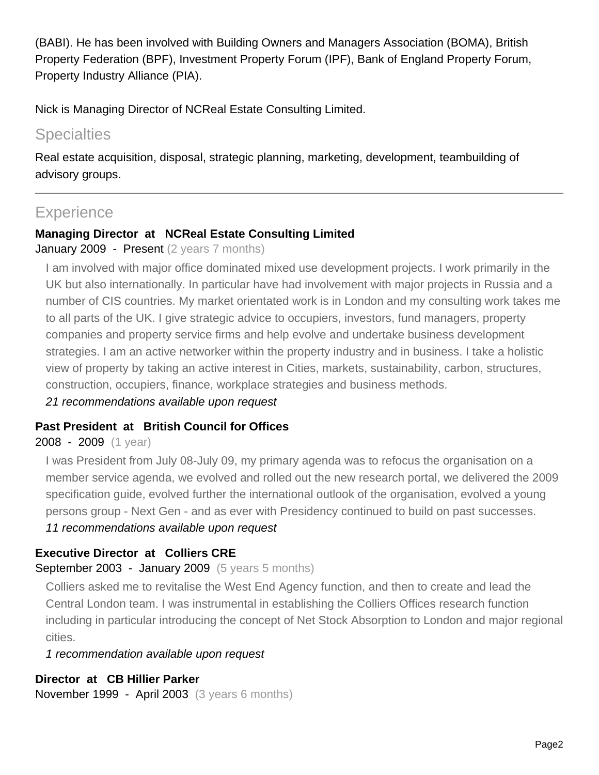(BABI). He has been involved with Building Owners and Managers Association (BOMA), British Property Federation (BPF), Investment Property Forum (IPF), Bank of England Property Forum, Property Industry Alliance (PIA).

Nick is Managing Director of NCReal Estate Consulting Limited.

## **Specialties**

Real estate acquisition, disposal, strategic planning, marketing, development, teambuilding of advisory groups.

## **Experience**

#### **Managing Director at NCReal Estate Consulting Limited**

#### January 2009 - Present (2 years 7 months)

I am involved with major office dominated mixed use development projects. I work primarily in the UK but also internationally. In particular have had involvement with major projects in Russia and a number of CIS countries. My market orientated work is in London and my consulting work takes me to all parts of the UK. I give strategic advice to occupiers, investors, fund managers, property companies and property service firms and help evolve and undertake business development strategies. I am an active networker within the property industry and in business. I take a holistic view of property by taking an active interest in Cities, markets, sustainability, carbon, structures, construction, occupiers, finance, workplace strategies and business methods.

21 recommendations available upon request

#### **Past President at British Council for Offices**

#### 2008 - 2009 (1 year)

I was President from July 08-July 09, my primary agenda was to refocus the organisation on a member service agenda, we evolved and rolled out the new research portal, we delivered the 2009 specification guide, evolved further the international outlook of the organisation, evolved a young persons group - Next Gen - and as ever with Presidency continued to build on past successes.

#### 11 recommendations available upon request

#### **Executive Director at Colliers CRE**

#### September 2003 - January 2009 (5 years 5 months)

Colliers asked me to revitalise the West End Agency function, and then to create and lead the Central London team. I was instrumental in establishing the Colliers Offices research function including in particular introducing the concept of Net Stock Absorption to London and major regional cities.

1 recommendation available upon request

#### **Director at CB Hillier Parker**

November 1999 - April 2003 (3 years 6 months)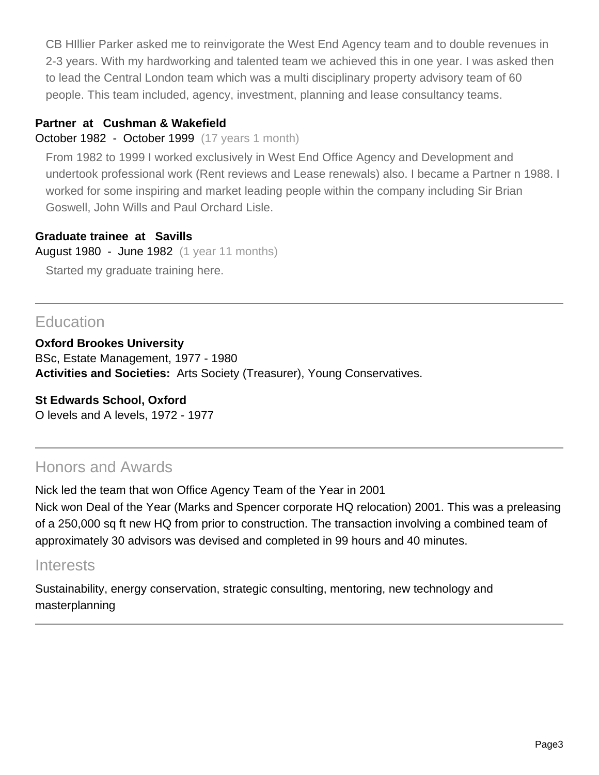CB HIllier Parker asked me to reinvigorate the West End Agency team and to double revenues in 2-3 years. With my hardworking and talented team we achieved this in one year. I was asked then to lead the Central London team which was a multi disciplinary property advisory team of 60 people. This team included, agency, investment, planning and lease consultancy teams.

#### **Partner at Cushman & Wakefield**

October 1982 - October 1999 (17 years 1 month)

From 1982 to 1999 I worked exclusively in West End Office Agency and Development and undertook professional work (Rent reviews and Lease renewals) also. I became a Partner n 1988. I worked for some inspiring and market leading people within the company including Sir Brian Goswell, John Wills and Paul Orchard Lisle.

#### **Graduate trainee at Savills**

August 1980 - June 1982 (1 year 11 months)

Started my graduate training here.

## **Education**

**Oxford Brookes University** BSc, Estate Management, 1977 - 1980 **Activities and Societies:** Arts Society (Treasurer), Young Conservatives.

**St Edwards School, Oxford** O levels and A levels, 1972 - 1977

## Honors and Awards

Nick led the team that won Office Agency Team of the Year in 2001 Nick won Deal of the Year (Marks and Spencer corporate HQ relocation) 2001. This was a preleasing of a 250,000 sq ft new HQ from prior to construction. The transaction involving a combined team of approximately 30 advisors was devised and completed in 99 hours and 40 minutes.

### Interests

Sustainability, energy conservation, strategic consulting, mentoring, new technology and masterplanning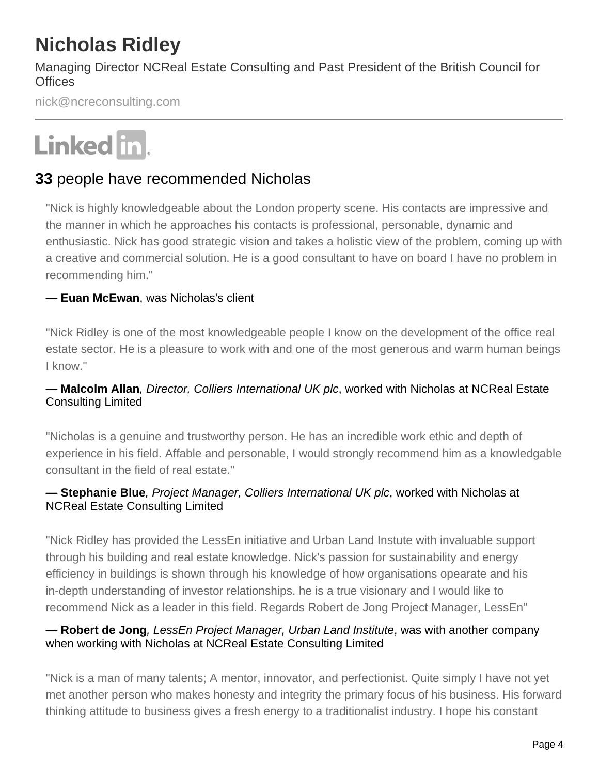# **Nicholas Ridley**

Managing Director NCReal Estate Consulting and Past President of the British Council for **Offices** 

nick@ncreconsulting.com

# Linked in.

## **33** people have recommended Nicholas

"Nick is highly knowledgeable about the London property scene. His contacts are impressive and the manner in which he approaches his contacts is professional, personable, dynamic and enthusiastic. Nick has good strategic vision and takes a holistic view of the problem, coming up with a creative and commercial solution. He is a good consultant to have on board I have no problem in recommending him."

#### **— Euan McEwan**, was Nicholas's client

"Nick Ridley is one of the most knowledgeable people I know on the development of the office real estate sector. He is a pleasure to work with and one of the most generous and warm human beings I know."

#### **— Malcolm Allan**, Director, Colliers International UK plc, worked with Nicholas at NCReal Estate Consulting Limited

"Nicholas is a genuine and trustworthy person. He has an incredible work ethic and depth of experience in his field. Affable and personable, I would strongly recommend him as a knowledgable consultant in the field of real estate."

#### **— Stephanie Blue**, Project Manager, Colliers International UK plc, worked with Nicholas at NCReal Estate Consulting Limited

"Nick Ridley has provided the LessEn initiative and Urban Land Instute with invaluable support through his building and real estate knowledge. Nick's passion for sustainability and energy efficiency in buildings is shown through his knowledge of how organisations opearate and his in-depth understanding of investor relationships. he is a true visionary and I would like to recommend Nick as a leader in this field. Regards Robert de Jong Project Manager, LessEn"

#### **— Robert de Jong**, LessEn Project Manager, Urban Land Institute, was with another company when working with Nicholas at NCReal Estate Consulting Limited

"Nick is a man of many talents; A mentor, innovator, and perfectionist. Quite simply I have not yet met another person who makes honesty and integrity the primary focus of his business. His forward thinking attitude to business gives a fresh energy to a traditionalist industry. I hope his constant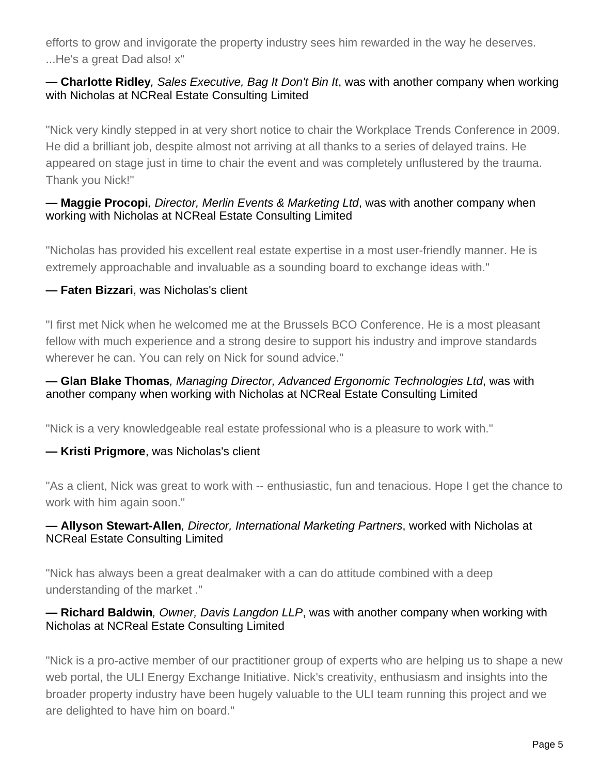efforts to grow and invigorate the property industry sees him rewarded in the way he deserves. ...He's a great Dad also! x"

#### **— Charlotte Ridley**, Sales Executive, Bag It Don't Bin It, was with another company when working with Nicholas at NCReal Estate Consulting Limited

"Nick very kindly stepped in at very short notice to chair the Workplace Trends Conference in 2009. He did a brilliant job, despite almost not arriving at all thanks to a series of delayed trains. He appeared on stage just in time to chair the event and was completely unflustered by the trauma. Thank you Nick!"

#### **— Maggie Procopi**, Director, Merlin Events & Marketing Ltd, was with another company when working with Nicholas at NCReal Estate Consulting Limited

"Nicholas has provided his excellent real estate expertise in a most user-friendly manner. He is extremely approachable and invaluable as a sounding board to exchange ideas with."

#### **— Faten Bizzari**, was Nicholas's client

"I first met Nick when he welcomed me at the Brussels BCO Conference. He is a most pleasant fellow with much experience and a strong desire to support his industry and improve standards wherever he can. You can rely on Nick for sound advice."

#### **— Glan Blake Thomas**, Managing Director, Advanced Ergonomic Technologies Ltd, was with another company when working with Nicholas at NCReal Estate Consulting Limited

"Nick is a very knowledgeable real estate professional who is a pleasure to work with."

#### **— Kristi Prigmore**, was Nicholas's client

"As a client, Nick was great to work with -- enthusiastic, fun and tenacious. Hope I get the chance to work with him again soon."

#### **— Allyson Stewart-Allen**, Director, International Marketing Partners, worked with Nicholas at NCReal Estate Consulting Limited

"Nick has always been a great dealmaker with a can do attitude combined with a deep understanding of the market ."

#### **— Richard Baldwin**, Owner, Davis Langdon LLP, was with another company when working with Nicholas at NCReal Estate Consulting Limited

"Nick is a pro-active member of our practitioner group of experts who are helping us to shape a new web portal, the ULI Energy Exchange Initiative. Nick's creativity, enthusiasm and insights into the broader property industry have been hugely valuable to the ULI team running this project and we are delighted to have him on board."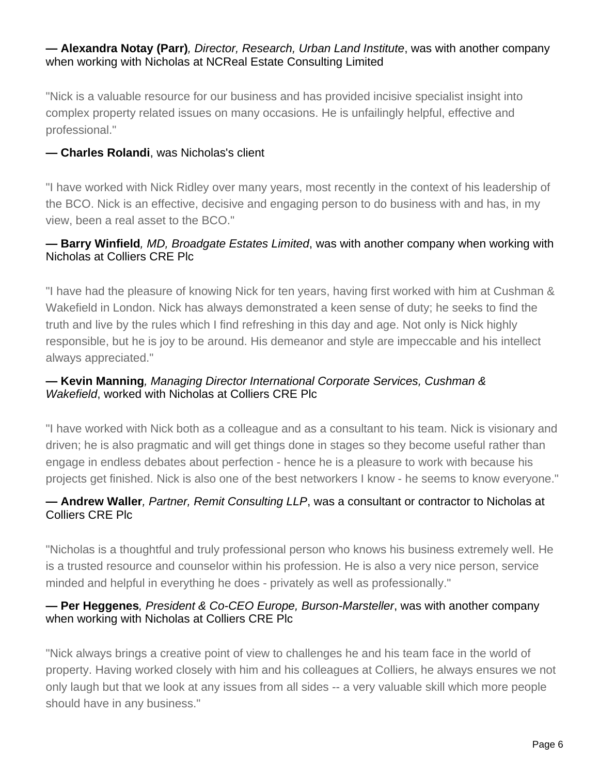#### **— Alexandra Notay (Parr)**, Director, Research, Urban Land Institute, was with another company when working with Nicholas at NCReal Estate Consulting Limited

"Nick is a valuable resource for our business and has provided incisive specialist insight into complex property related issues on many occasions. He is unfailingly helpful, effective and professional."

#### **— Charles Rolandi**, was Nicholas's client

"I have worked with Nick Ridley over many years, most recently in the context of his leadership of the BCO. Nick is an effective, decisive and engaging person to do business with and has, in my view, been a real asset to the BCO."

#### **— Barry Winfield**, MD, Broadgate Estates Limited, was with another company when working with Nicholas at Colliers CRE Plc

"I have had the pleasure of knowing Nick for ten years, having first worked with him at Cushman & Wakefield in London. Nick has always demonstrated a keen sense of duty; he seeks to find the truth and live by the rules which I find refreshing in this day and age. Not only is Nick highly responsible, but he is joy to be around. His demeanor and style are impeccable and his intellect always appreciated."

#### **— Kevin Manning**, Managing Director International Corporate Services, Cushman & Wakefield, worked with Nicholas at Colliers CRE Plc

"I have worked with Nick both as a colleague and as a consultant to his team. Nick is visionary and driven; he is also pragmatic and will get things done in stages so they become useful rather than engage in endless debates about perfection - hence he is a pleasure to work with because his projects get finished. Nick is also one of the best networkers I know - he seems to know everyone."

#### **— Andrew Waller**, Partner, Remit Consulting LLP, was a consultant or contractor to Nicholas at Colliers CRE Plc

"Nicholas is a thoughtful and truly professional person who knows his business extremely well. He is a trusted resource and counselor within his profession. He is also a very nice person, service minded and helpful in everything he does - privately as well as professionally."

#### **— Per Heggenes**, President & Co-CEO Europe, Burson-Marsteller, was with another company when working with Nicholas at Colliers CRE Plc

"Nick always brings a creative point of view to challenges he and his team face in the world of property. Having worked closely with him and his colleagues at Colliers, he always ensures we not only laugh but that we look at any issues from all sides -- a very valuable skill which more people should have in any business."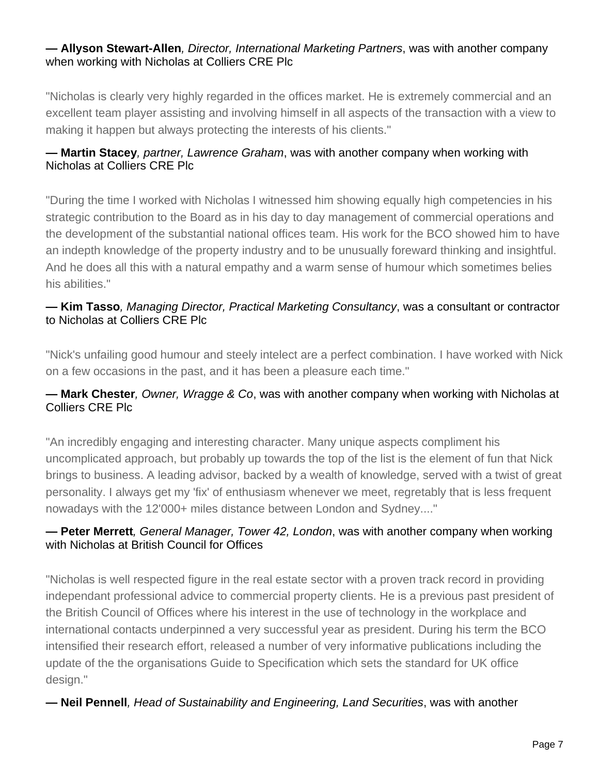#### **— Allyson Stewart-Allen**, Director, International Marketing Partners, was with another company when working with Nicholas at Colliers CRE Plc

"Nicholas is clearly very highly regarded in the offices market. He is extremely commercial and an excellent team player assisting and involving himself in all aspects of the transaction with a view to making it happen but always protecting the interests of his clients."

#### **— Martin Stacey**, partner, Lawrence Graham, was with another company when working with Nicholas at Colliers CRE Plc

"During the time I worked with Nicholas I witnessed him showing equally high competencies in his strategic contribution to the Board as in his day to day management of commercial operations and the development of the substantial national offices team. His work for the BCO showed him to have an indepth knowledge of the property industry and to be unusually foreward thinking and insightful. And he does all this with a natural empathy and a warm sense of humour which sometimes belies his abilities."

#### **— Kim Tasso**, Managing Director, Practical Marketing Consultancy, was a consultant or contractor to Nicholas at Colliers CRE Plc

"Nick's unfailing good humour and steely intelect are a perfect combination. I have worked with Nick on a few occasions in the past, and it has been a pleasure each time."

#### **— Mark Chester**, Owner, Wragge & Co, was with another company when working with Nicholas at Colliers CRE Plc

"An incredibly engaging and interesting character. Many unique aspects compliment his uncomplicated approach, but probably up towards the top of the list is the element of fun that Nick brings to business. A leading advisor, backed by a wealth of knowledge, served with a twist of great personality. I always get my 'fix' of enthusiasm whenever we meet, regretably that is less frequent nowadays with the 12'000+ miles distance between London and Sydney...."

#### **— Peter Merrett**, General Manager, Tower 42, London, was with another company when working with Nicholas at British Council for Offices

"Nicholas is well respected figure in the real estate sector with a proven track record in providing independant professional advice to commercial property clients. He is a previous past president of the British Council of Offices where his interest in the use of technology in the workplace and international contacts underpinned a very successful year as president. During his term the BCO intensified their research effort, released a number of very informative publications including the update of the the organisations Guide to Specification which sets the standard for UK office design."

#### **— Neil Pennell**, Head of Sustainability and Engineering, Land Securities, was with another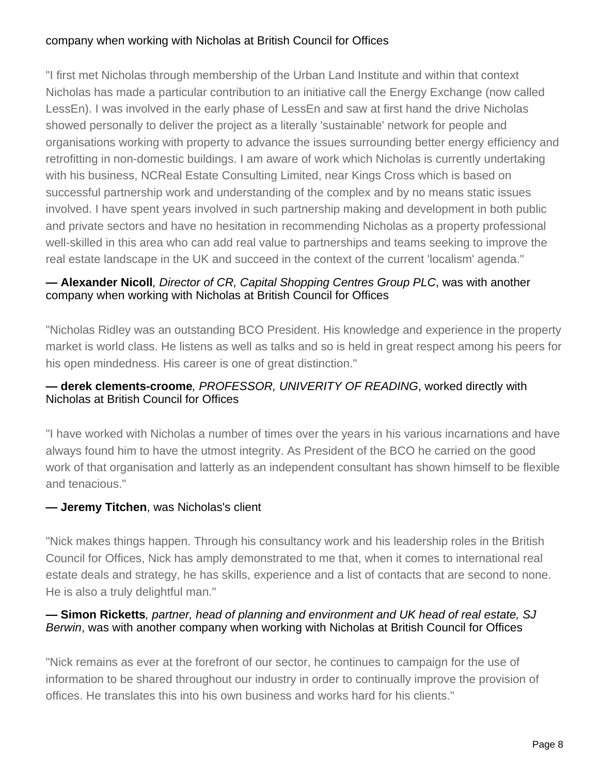#### company when working with Nicholas at British Council for Offices

"I first met Nicholas through membership of the Urban Land Institute and within that context Nicholas has made a particular contribution to an initiative call the Energy Exchange (now called LessEn). I was involved in the early phase of LessEn and saw at first hand the drive Nicholas showed personally to deliver the project as a literally 'sustainable' network for people and organisations working with property to advance the issues surrounding better energy efficiency and retrofitting in non-domestic buildings. I am aware of work which Nicholas is currently undertaking with his business, NCReal Estate Consulting Limited, near Kings Cross which is based on successful partnership work and understanding of the complex and by no means static issues involved. I have spent years involved in such partnership making and development in both public and private sectors and have no hesitation in recommending Nicholas as a property professional well-skilled in this area who can add real value to partnerships and teams seeking to improve the real estate landscape in the UK and succeed in the context of the current 'localism' agenda."

#### **— Alexander Nicoll**, Director of CR, Capital Shopping Centres Group PLC, was with another company when working with Nicholas at British Council for Offices

"Nicholas Ridley was an outstanding BCO President. His knowledge and experience in the property market is world class. He listens as well as talks and so is held in great respect among his peers for his open mindedness. His career is one of great distinction."

#### **— derek clements-croome**, PROFESSOR, UNIVERITY OF READING, worked directly with Nicholas at British Council for Offices

"I have worked with Nicholas a number of times over the years in his various incarnations and have always found him to have the utmost integrity. As President of the BCO he carried on the good work of that organisation and latterly as an independent consultant has shown himself to be flexible and tenacious."

#### **— Jeremy Titchen**, was Nicholas's client

"Nick makes things happen. Through his consultancy work and his leadership roles in the British Council for Offices, Nick has amply demonstrated to me that, when it comes to international real estate deals and strategy, he has skills, experience and a list of contacts that are second to none. He is also a truly delightful man."

#### **— Simon Ricketts**, partner, head of planning and environment and UK head of real estate, SJ Berwin, was with another company when working with Nicholas at British Council for Offices

"Nick remains as ever at the forefront of our sector, he continues to campaign for the use of information to be shared throughout our industry in order to continually improve the provision of offices. He translates this into his own business and works hard for his clients."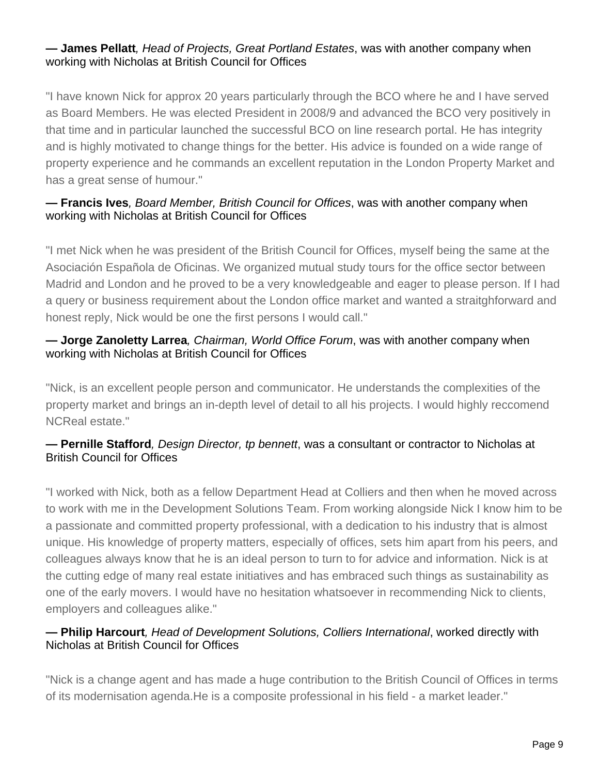#### **— James Pellatt**, Head of Projects, Great Portland Estates, was with another company when working with Nicholas at British Council for Offices

"I have known Nick for approx 20 years particularly through the BCO where he and I have served as Board Members. He was elected President in 2008/9 and advanced the BCO very positively in that time and in particular launched the successful BCO on line research portal. He has integrity and is highly motivated to change things for the better. His advice is founded on a wide range of property experience and he commands an excellent reputation in the London Property Market and has a great sense of humour."

#### **— Francis Ives**, Board Member, British Council for Offices, was with another company when working with Nicholas at British Council for Offices

"I met Nick when he was president of the British Council for Offices, myself being the same at the Asociación Española de Oficinas. We organized mutual study tours for the office sector between Madrid and London and he proved to be a very knowledgeable and eager to please person. If I had a query or business requirement about the London office market and wanted a straitghforward and honest reply, Nick would be one the first persons I would call."

#### **— Jorge Zanoletty Larrea**, Chairman, World Office Forum, was with another company when working with Nicholas at British Council for Offices

"Nick, is an excellent people person and communicator. He understands the complexities of the property market and brings an in-depth level of detail to all his projects. I would highly reccomend NCReal estate."

#### **— Pernille Stafford**, Design Director, tp bennett, was a consultant or contractor to Nicholas at British Council for Offices

"I worked with Nick, both as a fellow Department Head at Colliers and then when he moved across to work with me in the Development Solutions Team. From working alongside Nick I know him to be a passionate and committed property professional, with a dedication to his industry that is almost unique. His knowledge of property matters, especially of offices, sets him apart from his peers, and colleagues always know that he is an ideal person to turn to for advice and information. Nick is at the cutting edge of many real estate initiatives and has embraced such things as sustainability as one of the early movers. I would have no hesitation whatsoever in recommending Nick to clients, employers and colleagues alike."

#### **— Philip Harcourt**, Head of Development Solutions, Colliers International, worked directly with Nicholas at British Council for Offices

"Nick is a change agent and has made a huge contribution to the British Council of Offices in terms of its modernisation agenda.He is a composite professional in his field - a market leader."